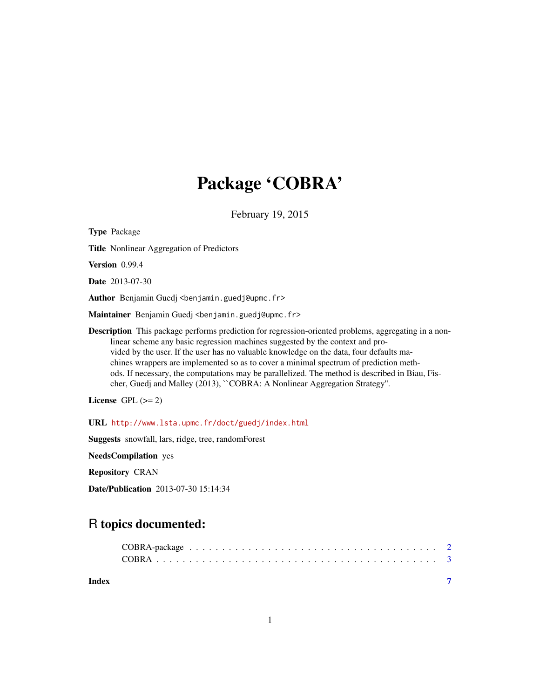## Package 'COBRA'

February 19, 2015

Type Package Title Nonlinear Aggregation of Predictors Version 0.99.4 Date 2013-07-30 Author Benjamin Guedj <benjamin.guedj@upmc.fr> Maintainer Benjamin Guedj <benjamin.guedj@upmc.fr> **Description** This package performs prediction for regression-oriented problems, aggregating in a nonlinear scheme any basic regression machines suggested by the context and provided by the user. If the user has no valuable knowledge on the data, four defaults machines wrappers are implemented so as to cover a minimal spectrum of prediction methods. If necessary, the computations may be parallelized. The method is described in Biau, Fischer, Guedj and Malley (2013), ``COBRA: A Nonlinear Aggregation Strategy''.

License GPL  $(>= 2)$ 

URL <http://www.lsta.upmc.fr/doct/guedj/index.html>

Suggests snowfall, lars, ridge, tree, randomForest

NeedsCompilation yes

Repository CRAN

Date/Publication 2013-07-30 15:14:34

### R topics documented:

| Index |  |  |  |  |  |  |  |  |  |  |  |  |  |  |  |  |
|-------|--|--|--|--|--|--|--|--|--|--|--|--|--|--|--|--|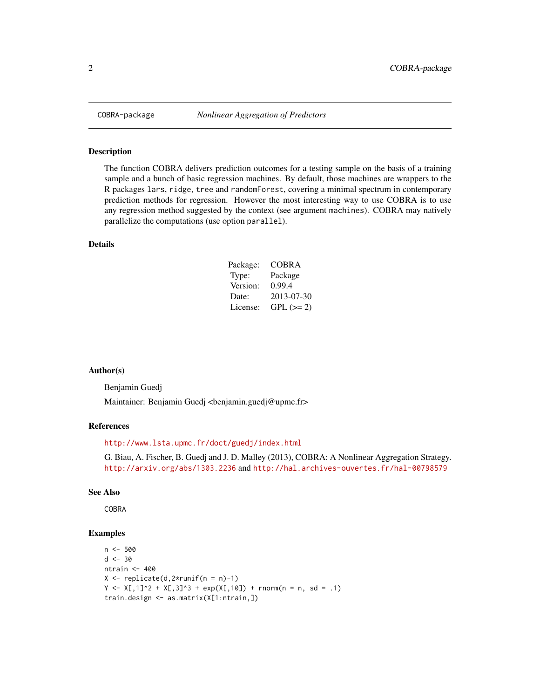#### Description

The function COBRA delivers prediction outcomes for a testing sample on the basis of a training sample and a bunch of basic regression machines. By default, those machines are wrappers to the R packages lars, ridge, tree and randomForest, covering a minimal spectrum in contemporary prediction methods for regression. However the most interesting way to use COBRA is to use any regression method suggested by the context (see argument machines). COBRA may natively parallelize the computations (use option parallel).

#### Details

| Package: | COBRA      |
|----------|------------|
| Type:    | Package    |
| Version: | 0.99.4     |
| Date:    | 2013-07-30 |
| License: | $GPL (=2)$ |

#### Author(s)

Benjamin Guedj Maintainer: Benjamin Guedj <br/>benjamin.guedj@upmc.fr>

#### References

<http://www.lsta.upmc.fr/doct/guedj/index.html>

G. Biau, A. Fischer, B. Guedj and J. D. Malley (2013), COBRA: A Nonlinear Aggregation Strategy. <http://arxiv.org/abs/1303.2236> and <http://hal.archives-ouvertes.fr/hal-00798579>

#### See Also

COBRA

#### Examples

```
n < -500d <- 30
ntrain <- 400
X \leftarrow \text{replicate}(d, 2 \star \text{runif}(n = n)-1)Y \le -X[, 1]^2 + X[, 3]^3 + exp(X[, 10]) + rnorm(n = n, sd = .1)
train.design <- as.matrix(X[1:ntrain,])
```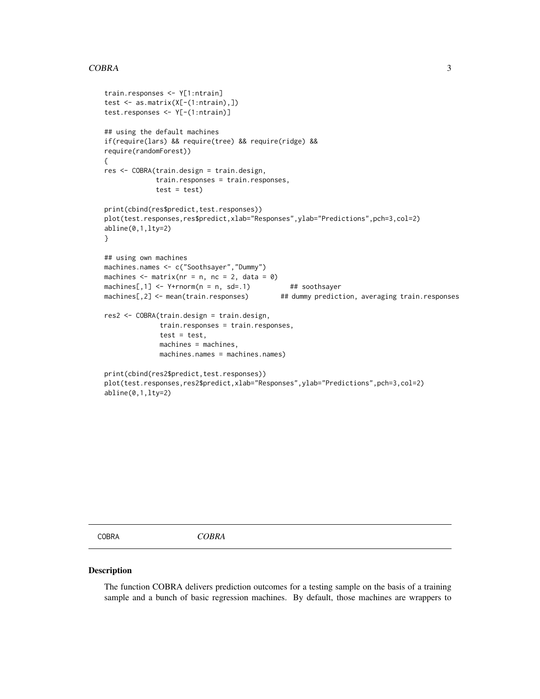#### <span id="page-2-0"></span> $COBRA$  3

```
train.responses <- Y[1:ntrain]
test <- as.matrix(X[-(1:ntrain),])
test.responses <- Y[-(1:ntrain)]
## using the default machines
if(require(lars) && require(tree) && require(ridge) &&
require(randomForest))
{
res <- COBRA(train.design = train.design,
             train.responses = train.responses,
             test = test)print(cbind(res$predict,test.responses))
plot(test.responses,res$predict,xlab="Responses",ylab="Predictions",pch=3,col=2)
abline(0,1,lty=2)
}
## using own machines
machines.names <- c("Soothsayer","Dummy")
machines \leq matrix(nr = n, nc = 2, data = 0)
machines[, 1] \leq Y+rnorm(n = n, sd=.1) ## soothsayer
machines[,2] <- mean(train.responses) ## dummy prediction, averaging train.responses
res2 <- COBRA(train.design = train.design,
              train.responses = train.responses,
              test = test,
             machines = machines,
             machines.names = machines.names)
print(cbind(res2$predict,test.responses))
plot(test.responses,res2$predict,xlab="Responses",ylab="Predictions",pch=3,col=2)
abline(0,1,lty=2)
```
COBRA *COBRA*

#### Description

The function COBRA delivers prediction outcomes for a testing sample on the basis of a training sample and a bunch of basic regression machines. By default, those machines are wrappers to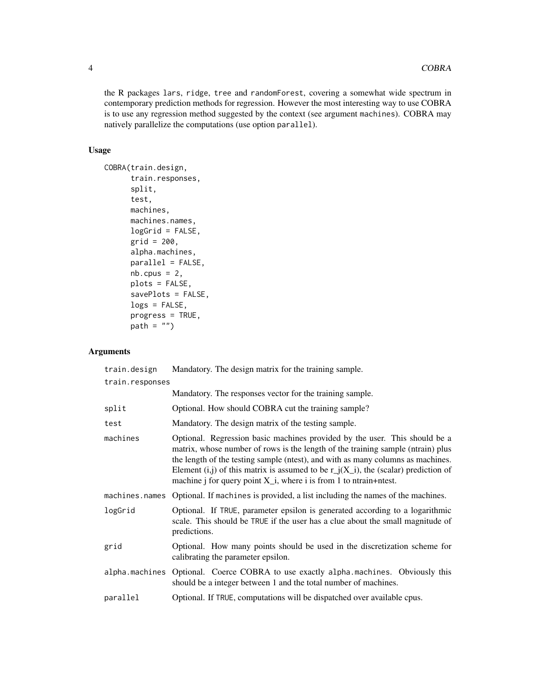the R packages lars, ridge, tree and randomForest, covering a somewhat wide spectrum in contemporary prediction methods for regression. However the most interesting way to use COBRA is to use any regression method suggested by the context (see argument machines). COBRA may natively parallelize the computations (use option parallel).

#### Usage

```
COBRA(train.design,
      train.responses,
      split,
      test,
     machines,
     machines.names,
      logGrid = FALSE,
      grid = 200,alpha.machines,
      parallel = FALSE,
     nb.cpus = 2,plots = FALSE,
      savePlots = FALSE,
      logs = FALSE,
      progress = TRUE,
     path = "")
```
#### Arguments

| train.design    | Mandatory. The design matrix for the training sample.                                                                                                                                                                                                                                                                                                                                                             |  |  |  |  |  |  |  |
|-----------------|-------------------------------------------------------------------------------------------------------------------------------------------------------------------------------------------------------------------------------------------------------------------------------------------------------------------------------------------------------------------------------------------------------------------|--|--|--|--|--|--|--|
| train.responses |                                                                                                                                                                                                                                                                                                                                                                                                                   |  |  |  |  |  |  |  |
|                 | Mandatory. The responses vector for the training sample.                                                                                                                                                                                                                                                                                                                                                          |  |  |  |  |  |  |  |
| split           | Optional. How should COBRA cut the training sample?                                                                                                                                                                                                                                                                                                                                                               |  |  |  |  |  |  |  |
| test            | Mandatory. The design matrix of the testing sample.                                                                                                                                                                                                                                                                                                                                                               |  |  |  |  |  |  |  |
| machines        | Optional. Regression basic machines provided by the user. This should be a<br>matrix, whose number of rows is the length of the training sample (ntrain) plus<br>the length of the testing sample (ntest), and with as many columns as machines.<br>Element (i,j) of this matrix is assumed to be $r_j(X_i)$ , the (scalar) prediction of<br>machine j for query point $X_i$ , where i is from 1 to ntrain+ntest. |  |  |  |  |  |  |  |
| machines.names  | Optional. If machines is provided, a list including the names of the machines.                                                                                                                                                                                                                                                                                                                                    |  |  |  |  |  |  |  |
| logGrid         | Optional. If TRUE, parameter epsilon is generated according to a logarithmic<br>scale. This should be TRUE if the user has a clue about the small magnitude of<br>predictions.                                                                                                                                                                                                                                    |  |  |  |  |  |  |  |
| grid            | Optional. How many points should be used in the discretization scheme for<br>calibrating the parameter epsilon.                                                                                                                                                                                                                                                                                                   |  |  |  |  |  |  |  |
| alpha.machines  | Optional. Coerce COBRA to use exactly alpha.machines. Obviously this<br>should be a integer between 1 and the total number of machines.                                                                                                                                                                                                                                                                           |  |  |  |  |  |  |  |
|                 |                                                                                                                                                                                                                                                                                                                                                                                                                   |  |  |  |  |  |  |  |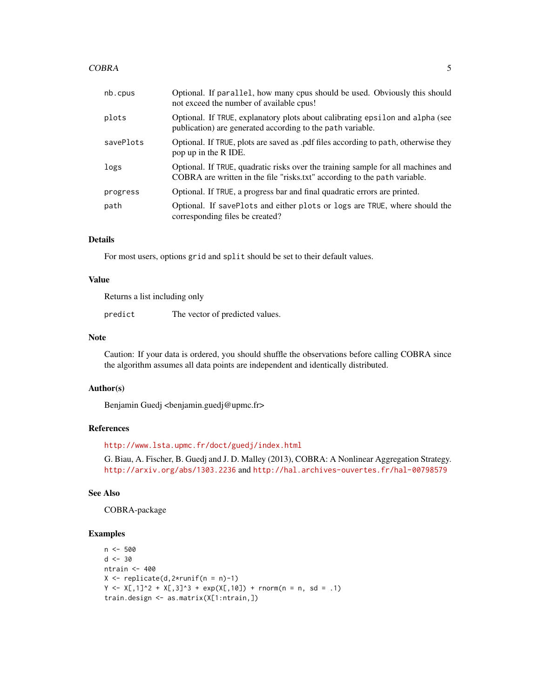#### COBRA 5

| nb.cpus   | Optional. If parallel, how many cpus should be used. Obviously this should<br>not exceed the number of available cpus!                                        |
|-----------|---------------------------------------------------------------------------------------------------------------------------------------------------------------|
| plots     | Optional. If TRUE, explanatory plots about calibrating epsilon and alpha (see<br>publication) are generated according to the path variable.                   |
| savePlots | Optional. If TRUE, plots are saved as .pdf files according to path, otherwise they<br>pop up in the R IDE.                                                    |
| logs      | Optional. If TRUE, quadratic risks over the training sample for all machines and<br>COBRA are written in the file "risks.txt" according to the path variable. |
| progress  | Optional. If TRUE, a progress bar and final quadratic errors are printed.                                                                                     |
| path      | Optional. If savePlots and either plots or logs are TRUE, where should the<br>corresponding files be created?                                                 |

#### Details

For most users, options grid and split should be set to their default values.

#### Value

Returns a list including only

predict The vector of predicted values.

#### Note

Caution: If your data is ordered, you should shuffle the observations before calling COBRA since the algorithm assumes all data points are independent and identically distributed.

#### Author(s)

Benjamin Guedj <benjamin.guedj@upmc.fr>

#### References

<http://www.lsta.upmc.fr/doct/guedj/index.html>

G. Biau, A. Fischer, B. Guedj and J. D. Malley (2013), COBRA: A Nonlinear Aggregation Strategy. <http://arxiv.org/abs/1303.2236> and <http://hal.archives-ouvertes.fr/hal-00798579>

#### See Also

COBRA-package

#### Examples

```
n <- 500
d < -30ntrain <- 400
X \leftarrow \text{replicate}(d, 2 \times \text{runif}(n = n)-1)Y \le -X[,1]^2 + X[,3]^3 + exp(X[,10]) + rnorm(n = n, sd = .1)
train.design <- as.matrix(X[1:ntrain,])
```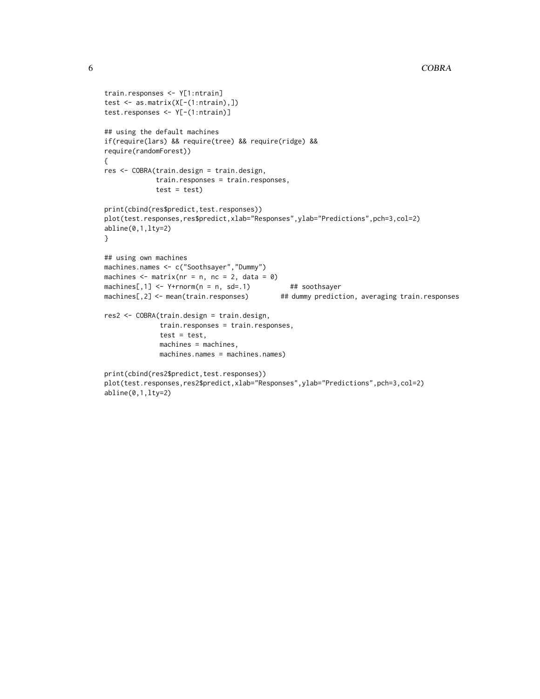```
train.responses <- Y[1:ntrain]
test <- as.matrix(X[-(1:ntrain),])
test.responses <- Y[-(1:ntrain)]
## using the default machines
if(require(lars) && require(tree) && require(ridge) &&
require(randomForest))
{
res <- COBRA(train.design = train.design,
             train.responses = train.responses,
             test = test)print(cbind(res$predict,test.responses))
plot(test.responses,res$predict,xlab="Responses",ylab="Predictions",pch=3,col=2)
abline(0,1,lty=2)
}
## using own machines
machines.names <- c("Soothsayer","Dummy")
machines \leq matrix(nr = n, nc = 2, data = 0)
machines[,1] <- Y+rnorm(n = n, sd=.1) ## soothsayer
machines[,2] <- mean(train.responses) ## dummy prediction, averaging train.responses
res2 <- COBRA(train.design = train.design,
              train.responses = train.responses,
              test = test,
             machines = machines,
             machines.names = machines.names)
print(cbind(res2$predict,test.responses))
plot(test.responses,res2$predict,xlab="Responses",ylab="Predictions",pch=3,col=2)
abline(0,1,lty=2)
```